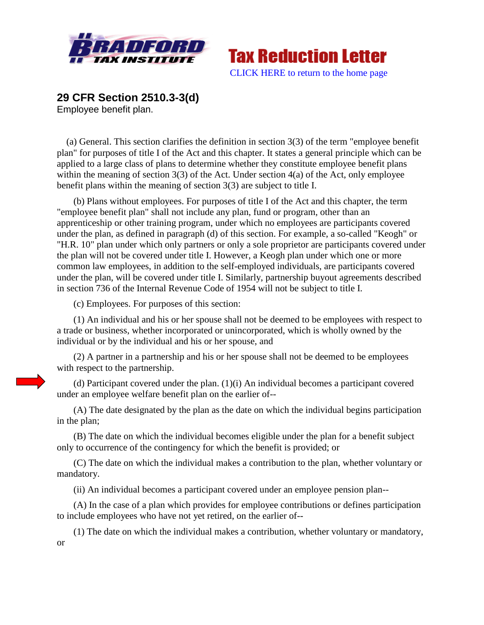



## **29 CFR Section 2510.3-3(d)**

Employee benefit plan.

 (a) General. This section clarifies the definition in section 3(3) of the term "employee benefit plan" for purposes of title I of the Act and this chapter. It states a general principle which can be applied to a large class of plans to determine whether they constitute employee benefit plans within the meaning of section 3(3) of the Act. Under section 4(a) of the Act, only employee benefit plans within the meaning of section 3(3) are subject to title I.

(b) Plans without employees. For purposes of title I of the Act and this chapter, the term "employee benefit plan" shall not include any plan, fund or program, other than an apprenticeship or other training program, under which no employees are participants covered under the plan, as defined in paragraph (d) of this section. For example, a so-called "Keogh" or "H.R. 10" plan under which only partners or only a sole proprietor are participants covered under the plan will not be covered under title I. However, a Keogh plan under which one or more common law employees, in addition to the self-employed individuals, are participants covered under the plan, will be covered under title I. Similarly, partnership buyout agreements described in section 736 of the Internal Revenue Code of 1954 will not be subject to title I.

(c) Employees. For purposes of this section:

(1) An individual and his or her spouse shall not be deemed to be employees with respect to a trade or business, whether incorporated or unincorporated, which is wholly owned by the individual or by the individual and his or her spouse, and

(2) A partner in a partnership and his or her spouse shall not be deemed to be employees with respect to the partnership.

(d) Participant covered under the plan. (1)(i) An individual becomes a participant covered under an employee welfare benefit plan on the earlier of--

(A) The date designated by the plan as the date on which the individual begins participation in the plan;

(B) The date on which the individual becomes eligible under the plan for a benefit subject only to occurrence of the contingency for which the benefit is provided; or

(C) The date on which the individual makes a contribution to the plan, whether voluntary or mandatory.

(ii) An individual becomes a participant covered under an employee pension plan--

(A) In the case of a plan which provides for employee contributions or defines participation to include employees who have not yet retired, on the earlier of--

(1) The date on which the individual makes a contribution, whether voluntary or mandatory, or